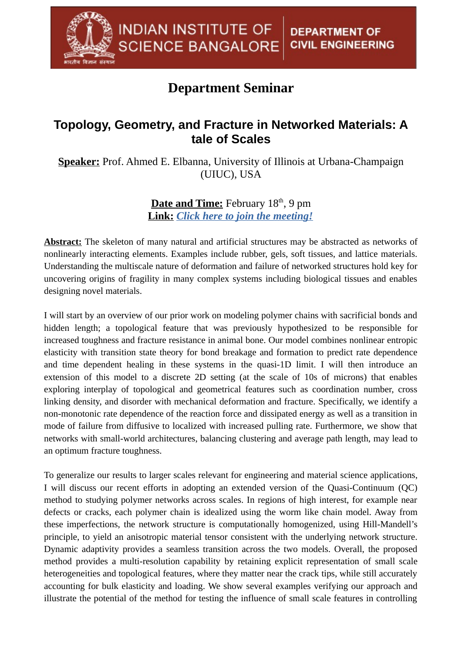## **Department Seminar**

## **Topology, Geometry, and Fracture in Networked Materials: A tale of Scales**

**Speaker:** Prof. Ahmed E. Elbanna, University of Illinois at Urbana-Champaign (UIUC), USA

> **Date and Time:** February 18<sup>th</sup>, 9 pm **Link:** *[Click here to join the meeting!](https://teams.microsoft.com/l/meetup-join/19%3Ameeting_MWJjNmM3ZmUtODdlNi00ZjkyLWFmMGYtY2M0YmE4ZDMzMzIy@thread.v2/0?context=%7B%22Tid%22%3A%226f15cd97-f6a7-41e3-b2c5-ad4193976476%22%2C%22Oid%22%3A%22e4c94d16-59f7-4d89-832c-e948c88ec535%22%7D)*

**Abstract:** The skeleton of many natural and artificial structures may be abstracted as networks of nonlinearly interacting elements. Examples include rubber, gels, soft tissues, and lattice materials. Understanding the multiscale nature of deformation and failure of networked structures hold key for uncovering origins of fragility in many complex systems including biological tissues and enables designing novel materials.

I will start by an overview of our prior work on modeling polymer chains with sacrificial bonds and hidden length; a topological feature that was previously hypothesized to be responsible for increased toughness and fracture resistance in animal bone. Our model combines nonlinear entropic elasticity with transition state theory for bond breakage and formation to predict rate dependence and time dependent healing in these systems in the quasi-1D limit. I will then introduce an extension of this model to a discrete 2D setting (at the scale of 10s of microns) that enables exploring interplay of topological and geometrical features such as coordination number, cross linking density, and disorder with mechanical deformation and fracture. Specifically, we identify a non-monotonic rate dependence of the reaction force and dissipated energy as well as a transition in mode of failure from diffusive to localized with increased pulling rate. Furthermore, we show that networks with small-world architectures, balancing clustering and average path length, may lead to an optimum fracture toughness.

To generalize our results to larger scales relevant for engineering and material science applications, I will discuss our recent efforts in adopting an extended version of the Quasi-Continuum (QC) method to studying polymer networks across scales. In regions of high interest, for example near defects or cracks, each polymer chain is idealized using the worm like chain model. Away from these imperfections, the network structure is computationally homogenized, using Hill-Mandell's principle, to yield an anisotropic material tensor consistent with the underlying network structure. Dynamic adaptivity provides a seamless transition across the two models. Overall, the proposed method provides a multi-resolution capability by retaining explicit representation of small scale heterogeneities and topological features, where they matter near the crack tips, while still accurately accounting for bulk elasticity and loading. We show several examples verifying our approach and illustrate the potential of the method for testing the influence of small scale features in controlling